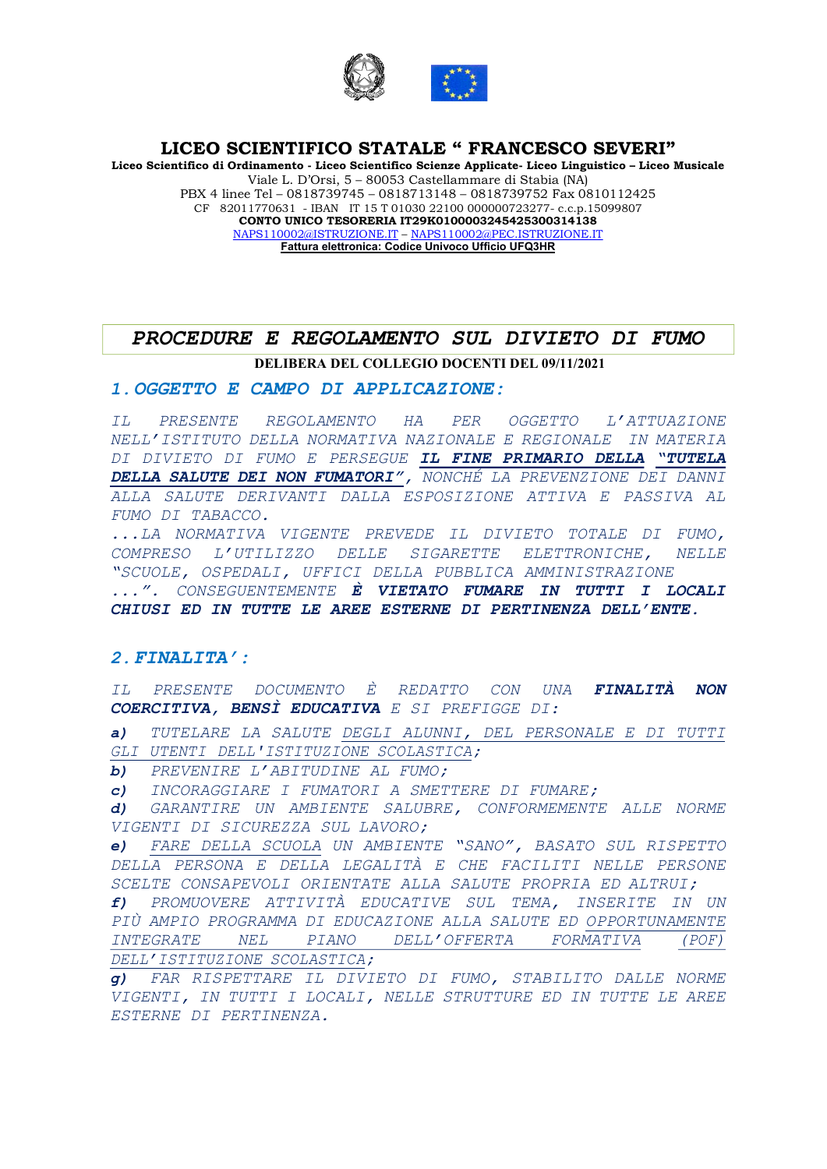

Liceo Scientifico di Ordinamento - Liceo Scientifico Scienze Applicate- Liceo Linguistico – Liceo Musicale Viale L. D'Orsi, 5 – 80053 Castellammare di Stabia (NA) PBX 4 linee Tel – 0818739745 – 0818713148 – 0818739752 Fax 0810112425 CF 82011770631 - IBAN IT 15 T 01030 22100 000000723277- c.c.p.15099807 CONTO UNICO TESORERIA IT29K0100003245425300314138 NAPS110002@ISTRUZIONE.IT – NAPS110002@PEC.ISTRUZIONE.IT Fattura elettronica: Codice Univoco Ufficio UFQ3HR

# DELIBERA DEL COLLEGIO DOCENTI DEL 09/11/2021 PROCEDURE E REGOLAMENTO SUL DIVIETO DI FUMO

#### 1.OGGETTO E CAMPO DI APPLICAZIONE:

IL PRESENTE REGOLAMENTO HA PER OGGETTO L'ATTUAZIONE NELL'ISTITUTO DELLA NORMATIVA NAZIONALE E REGIONALE IN MATERIA DI DIVIETO DI FUMO E PERSEGUE IL FINE PRIMARIO DELLA "TUTELA DELLA SALUTE DEI NON FUMATORI", NONCHÉ LA PREVENZIONE DEI DANNI ALLA SALUTE DERIVANTI DALLA ESPOSIZIONE ATTIVA E PASSIVA AL FUMO DI TABACCO.

...LA NORMATIVA VIGENTE PREVEDE IL DIVIETO TOTALE DI FUMO, COMPRESO L'UTILIZZO DELLE SIGARETTE ELETTRONICHE, NELLE "SCUOLE, OSPEDALI, UFFICI DELLA PUBBLICA AMMINISTRAZIONE ...". CONSEGUENTEMENTE È VIETATO FUMARE IN TUTTI I LOCALI CHIUSI ED IN TUTTE LE AREE ESTERNE DI PERTINENZA DELL'ENTE.

#### 2.FINALITA':

IL PRESENTE DOCUMENTO È REDATTO CON UNA FINALITÀ NON COERCITIVA, BENSÌ EDUCATIVA E SI PREFIGGE DI:

a) TUTELARE LA SALUTE DEGLI ALUNNI, DEL PERSONALE E DI TUTTI GLI UTENTI DELL'ISTITUZIONE SCOLASTICA;

b) PREVENIRE L'ABITUDINE AL FUMO;

c) INCORAGGIARE I FUMATORI A SMETTERE DI FUMARE;

d) GARANTIRE UN AMBIENTE SALUBRE, CONFORMEMENTE ALLE NORME VIGENTI DI SICUREZZA SUL LAVORO;

e) FARE DELLA SCUOLA UN AMBIENTE "SANO", BASATO SUL RISPETTO DELLA PERSONA E DELLA LEGALITÀ E CHE FACILITI NELLE PERSONE SCELTE CONSAPEVOLI ORIENTATE ALLA SALUTE PROPRIA ED ALTRUI;

f) PROMUOVERE ATTIVITÀ EDUCATIVE SUL TEMA, INSERITE IN UN PIÙ AMPIO PROGRAMMA DI EDUCAZIONE ALLA SALUTE ED OPPORTUNAMENTE INTEGRATE NEL PIANO DELL'OFFERTA FORMATIVA (POF) DELL'ISTITUZIONE SCOLASTICA;

g) FAR RISPETTARE IL DIVIETO DI FUMO, STABILITO DALLE NORME VIGENTI, IN TUTTI I LOCALI, NELLE STRUTTURE ED IN TUTTE LE AREE ESTERNE DI PERTINENZA.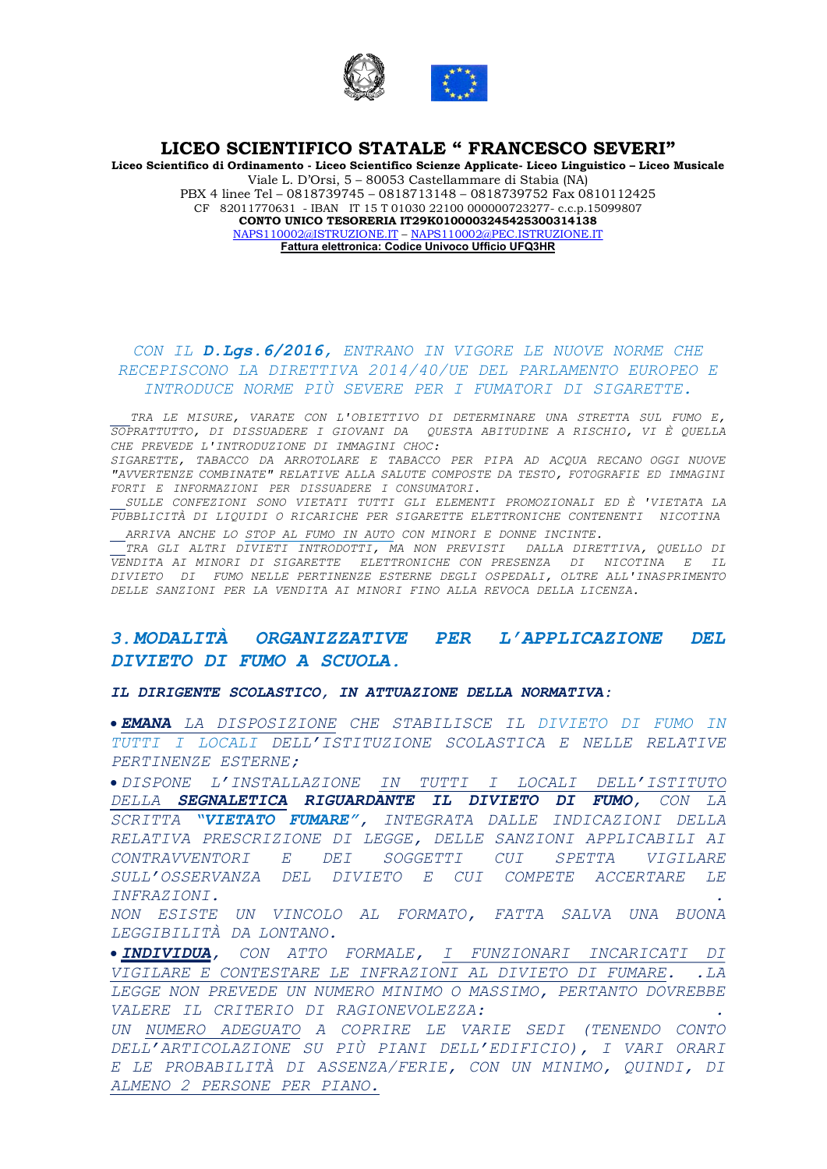

Liceo Scientifico di Ordinamento - Liceo Scientifico Scienze Applicate- Liceo Linguistico – Liceo Musicale Viale L. D'Orsi, 5 – 80053 Castellammare di Stabia (NA) PBX 4 linee Tel – 0818739745 – 0818713148 – 0818739752 Fax 0810112425 CF 82011770631 - IBAN IT 15 T 01030 22100 000000723277- c.c.p.15099807 CONTO UNICO TESORERIA IT29K0100003245425300314138 NAPS110002@ISTRUZIONE.IT – NAPS110002@PEC.ISTRUZIONE.IT Fattura elettronica: Codice Univoco Ufficio UFQ3HR

# CON IL D.Lgs.6/2016, ENTRANO IN VIGORE LE NUOVE NORME CHE RECEPISCONO LA DIRETTIVA 2014/40/UE DEL PARLAMENTO EUROPEO E INTRODUCE NORME PIÙ SEVERE PER I FUMATORI DI SIGARETTE.

 TRA LE MISURE, VARATE CON L'OBIETTIVO DI DETERMINARE UNA STRETTA SUL FUMO E, SOPRATTUTTO, DI DISSUADERE I GIOVANI DA QUESTAABITUDINE A RISCHIO, VI È QUELLA CHE PREVEDE L'INTRODUZIONE DI IMMAGINI CHOC:

SIGARETTE, TABACCO DA ARROTOLARE E TABACCO PER PIPA AD ACQUA RECANO OGGI NUOVE "AVVERTENZE COMBINATE" RELATIVE ALLA SALUTE COMPOSTE DA TESTO, FOTOGRAFIE ED IMMAGINI FORTI E INFORMAZIONI PER DISSUADERE I CONSUMATORI.

 SULLE CONFEZIONI SONO VIETATI TUTTI GLI ELEMENTI PROMOZIONALI ED È 'VIETATA LA PUBBLICITÀ DI LIQUIDI O RICARICHE PER SIGARETTE ELETTRONICHE CONTENENTI NICOTINA ARRIVA ANCHE LO STOP AL FUMO IN AUTO CON MINORI E DONNE INCINTE.

 TRA GLI ALTRI DIVIETI INTRODOTTI, MA NON PREVISTI DALLA DIRETTIVA, QUELLO DI VENDITA AI MINORI DI SIGARETTE ELETTRONICHE CON PRESENZA DI NICOTINA E IL DIVIETO DI FUMO NELLE PERTINENZE ESTERNE DEGLI OSPEDALI, OLTRE ALL'INASPRIMENTO DELLE SANZIONI PER LA VENDITA AI MINORI FINO ALLA REVOCA DELLA LICENZA.

# 3.MODALITÀ ORGANIZZATIVE PER L'APPLICAZIONE DEL DIVIETO DI FUMO A SCUOLA.

IL DIRIGENTE SCOLASTICO, IN ATTUAZIONE DELLA NORMATIVA:

 EMANA LA DISPOSIZIONE CHE STABILISCE IL DIVIETO DI FUMO IN TUTTI I LOCALI DELL'ISTITUZIONE SCOLASTICA E NELLE RELATIVE PERTINENZE ESTERNE;

 DISPONE L'INSTALLAZIONE IN TUTTI I LOCALI DELL'ISTITUTO DELLA SEGNALETICA RIGUARDANTE IL DIVIETO DI FUMO, CON LA SCRITTA "VIETATO FUMARE", INTEGRATA DALLE INDICAZIONI DELLA RELATIVA PRESCRIZIONE DI LEGGE, DELLE SANZIONI APPLICABILI AI CONTRAVVENTORI E DEI SOGGETTI CUI SPETTA VIGILARE SULL'OSSERVANZA DEL DIVIETO E CUI COMPETE ACCERTARE LE INFRAZIONI. .

NON ESISTE UN VINCOLO AL FORMATO, FATTA SALVA UNA BUONA LEGGIBILITÀ DA LONTANO.

 INDIVIDUA, CON ATTO FORMALE, I FUNZIONARI INCARICATI DI VIGILARE E CONTESTARE LE INFRAZIONI AL DIVIETO DI FUMARE. . LA LEGGE NON PREVEDE UN NUMERO MINIMO O MASSIMO, PERTANTO DOVREBBE VALERE IL CRITERIO DI RAGIONEVOLEZZA: . UN NUMERO ADEGUATO A COPRIRE LE VARIE SEDI (TENENDO CONTO DELL'ARTICOLAZIONE SU PIÙ PIANI DELL'EDIFICIO), I VARI ORARI E LE PROBABILITÀ DI ASSENZA/FERIE, CON UN MINIMO, QUINDI, DI ALMENO 2 PERSONE PER PIANO.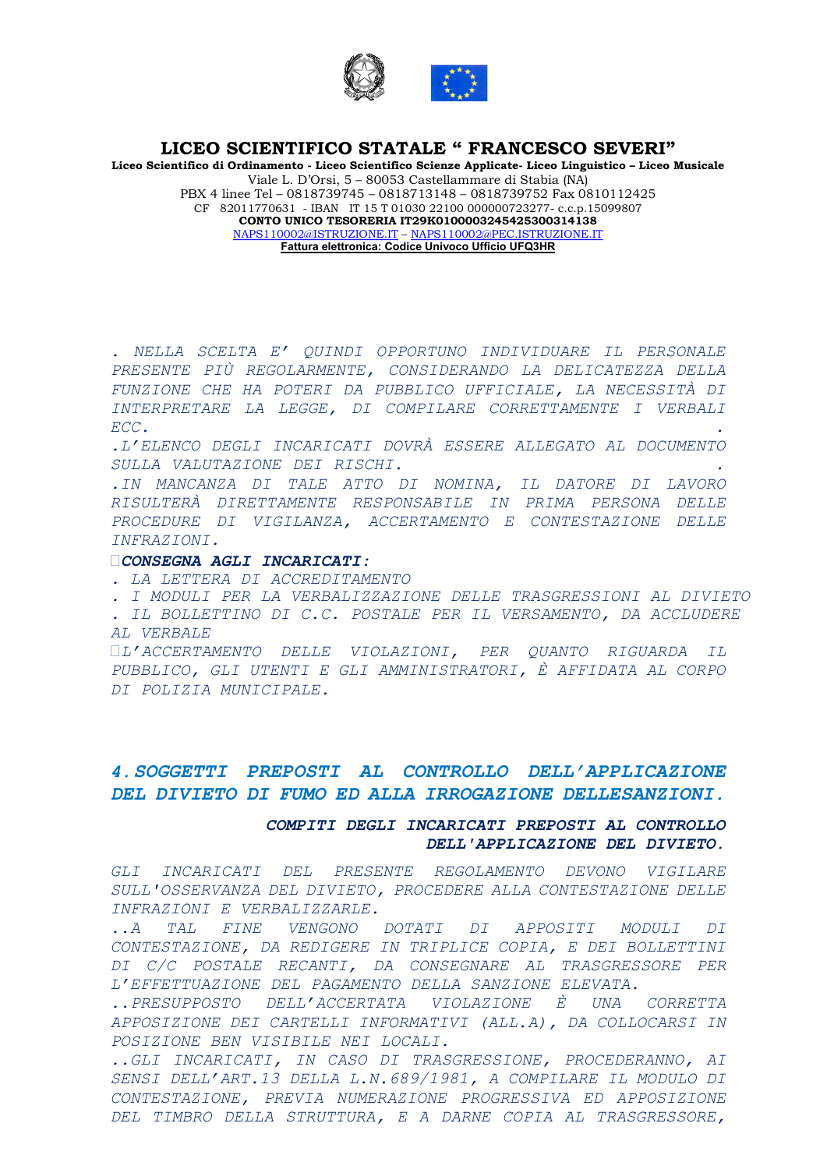

Liceo Scientifico di Ordinamento - Liceo Scientifico Scienze Applicate- Liceo Linguistico – Liceo Musicale Viale L. D'Orsi, 5 – 80053 Castellammare di Stabia (NA) PBX 4 linee Tel – 0818739745 – 0818713148 – 0818739752 Fax 0810112425 CF 82011770631 - IBAN IT 15 T 01030 22100 000000723277- c.c.p.15099807 CONTO UNICO TESORERIA IT29K0100003245425300314138 NAPS110002@ISTRUZIONE.IT – NAPS110002@PEC.ISTRUZIONE.IT Fattura elettronica: Codice Univoco Ufficio UFQ3HR

. NELLA SCELTA E' QUINDI OPPORTUNO INDIVIDUARE IL PERSONALE PRESENTE PIÙ REGOLARMENTE, CONSIDERANDO LA DELICATEZZA DELLA FUNZIONE CHE HA POTERI DA PUBBLICO UFFICIALE, LA NECESSITÀ DI INTERPRETARE LA LEGGE, DI COMPILARE CORRETTAMENTE I VERBALI  $\text{ECC.}$ 

.L'ELENCO DEGLI INCARICATI DOVRÀ ESSERE ALLEGATO AL DOCUMENTO SULLA VALUTAZIONE DEI RISCHI. .

.IN MANCANZA DI TALE ATTO DI NOMINA, IL DATORE DI LAVORO RISULTERÀ DIRETTAMENTE RESPONSABILE IN PRIMA PERSONA DELLE PROCEDURE DI VIGILANZA, ACCERTAMENTO E CONTESTAZIONE DELLE INFRAZIONI.

#### CONSEGNA AGLI INCARICATI:

. LA LETTERA DI ACCREDITAMENTO

- . I MODULI PER LA VERBALIZZAZIONE DELLE TRASGRESSIONI AL DIVIETO
- . IL BOLLETTINO DI C.C. POSTALE PER IL VERSAMENTO, DA ACCLUDERE AL VERBALE

L'ACCERTAMENTO DELLE VIOLAZIONI, PER QUANTO RIGUARDA IL PUBBLICO, GLI UTENTI E GLI AMMINISTRATORI, È AFFIDATA AL CORPO DI POLIZIA MUNICIPALE.

# 4.SOGGETTI PREPOSTI AL CONTROLLO DELL'APPLICAZIONE DEL DIVIETO DI FUMO ED ALLA IRROGAZIONE DELLESANZIONI.

#### COMPITI DEGLI INCARICATI PREPOSTI AL CONTROLLO DELL'APPLICAZIONE DEL DIVIETO.

GLI INCARICATI DEL PRESENTE REGOLAMENTO DEVONO VIGILARE SULL'OSSERVANZA DEL DIVIETO, PROCEDERE ALLA CONTESTAZIONE DELLE INFRAZIONI E VERBALIZZARLE.

..A TAL FINE VENGONO DOTATI DI APPOSITI MODULI DI CONTESTAZIONE, DA REDIGERE IN TRIPLICE COPIA, E DEI BOLLETTINI DI C/C POSTALE RECANTI, DA CONSEGNARE AL TRASGRESSORE PER L'EFFETTUAZIONE DEL PAGAMENTO DELLA SANZIONE ELEVATA.

..PRESUPPOSTO DELL'ACCERTATA VIOLAZIONE È UNA CORRETTA APPOSIZIONE DEI CARTELLI INFORMATIVI (ALL.A), DA COLLOCARSI IN POSIZIONE BEN VISIBILE NEI LOCALI.

..GLI INCARICATI, IN CASO DI TRASGRESSIONE, PROCEDERANNO, AI SENSI DELL'ART.13 DELLA L.N.689/1981, A COMPILARE IL MODULO DI CONTESTAZIONE, PREVIA NUMERAZIONE PROGRESSIVA ED APPOSIZIONE DEL TIMBRO DELLA STRUTTURA, E A DARNE COPIA AL TRASGRESSORE,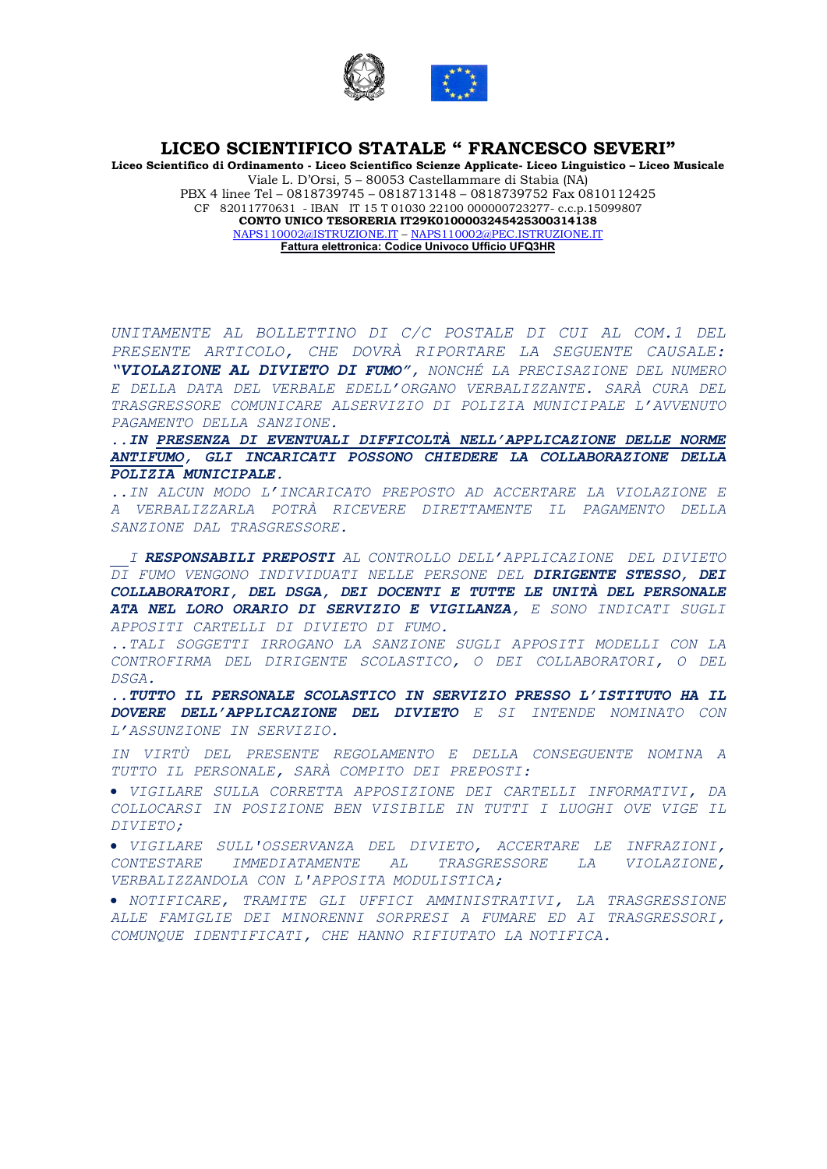

Liceo Scientifico di Ordinamento - Liceo Scientifico Scienze Applicate- Liceo Linguistico – Liceo Musicale Viale L. D'Orsi, 5 – 80053 Castellammare di Stabia (NA) PBX 4 linee Tel – 0818739745 – 0818713148 – 0818739752 Fax 0810112425 CF 82011770631 - IBAN IT 15 T 01030 22100 000000723277- c.c.p.15099807 CONTO UNICO TESORERIA IT29K0100003245425300314138 NAPS110002@ISTRUZIONE.IT – NAPS110002@PEC.ISTRUZIONE.IT Fattura elettronica: Codice Univoco Ufficio UFQ3HR

UNITAMENTE AL BOLLETTINO DI C/C POSTALE DI CUI AL COM.1 DEL PRESENTE ARTICOLO, CHE DOVRÀ RIPORTARE LA SEGUENTE CAUSALE: "VIOLAZIONE AL DIVIETO DI FUMO", NONCHÉ LA PRECISAZIONE DEL NUMERO E DELLA DATA DEL VERBALE EDELL'ORGANO VERBALIZZANTE. SARÀ CURA DEL TRASGRESSORE COMUNICARE ALSERVIZIO DI POLIZIA MUNICIPALE L'AVVENUTO PAGAMENTO DELLA SANZIONE.

..IN PRESENZA DI EVENTUALI DIFFICOLTÀ NELL'APPLICAZIONE DELLE NORME ANTIFUMO, GLI INCARICATI POSSONO CHIEDERE LA COLLABORAZIONE DELLA POLIZIA MUNICIPALE.

..IN ALCUN MODO L'INCARICATO PREPOSTO AD ACCERTARE LA VIOLAZIONE E A VERBALIZZARLA POTRÀ RICEVERE DIRETTAMENTE IL PAGAMENTO DELLA SANZIONE DAL TRASGRESSORE.

 I RESPONSABILI PREPOSTI AL CONTROLLO DELL'APPLICAZIONE DEL DIVIETO DI FUMO VENGONO INDIVIDUATI NELLE PERSONE DEL DIRIGENTE STESSO, DEI COLLABORATORI, DEL DSGA, DEI DOCENTI E TUTTE LE UNITÀ DEL PERSONALE ATA NEL LORO ORARIO DI SERVIZIO E VIGILANZA, E SONO INDICATI SUGLI APPOSITI CARTELLI DI DIVIETO DI FUMO.

..TALI SOGGETTI IRROGANO LA SANZIONE SUGLI APPOSITI MODELLI CON LA CONTROFIRMA DEL DIRIGENTE SCOLASTICO, O DEI COLLABORATORI, O DEL DSGA.

..TUTTO IL PERSONALE SCOLASTICO IN SERVIZIO PRESSO L'ISTITUTO HA IL DOVERE DELL'APPLICAZIONE DEL DIVIETO E SI INTENDE NOMINATO CON L'ASSUNZIONE IN SERVIZIO.

IN VIRTÙ DEL PRESENTE REGOLAMENTO E DELLA CONSEGUENTE NOMINA A TUTTO IL PERSONALE, SARÀ COMPITO DEI PREPOSTI:

 VIGILARE SULLA CORRETTA APPOSIZIONE DEI CARTELLI INFORMATIVI, DA COLLOCARSI IN POSIZIONE BEN VISIBILE IN TUTTI I LUOGHI OVE VIGE IL DIVIETO;

 VIGILARE SULL'OSSERVANZA DEL DIVIETO, ACCERTARE LE INFRAZIONI, CONTESTARE IMMEDIATAMENTE AL TRASGRESSORE LA VIOLAZIONE, VERBALIZZANDOLA CON L'APPOSITA MODULISTICA;

 NOTIFICARE, TRAMITE GLI UFFICI AMMINISTRATIVI, LA TRASGRESSIONE ALLE FAMIGLIE DEI MINORENNI SORPRESI A FUMARE ED AI TRASGRESSORI, COMUNQUE IDENTIFICATI, CHE HANNO RIFIUTATO LA NOTIFICA.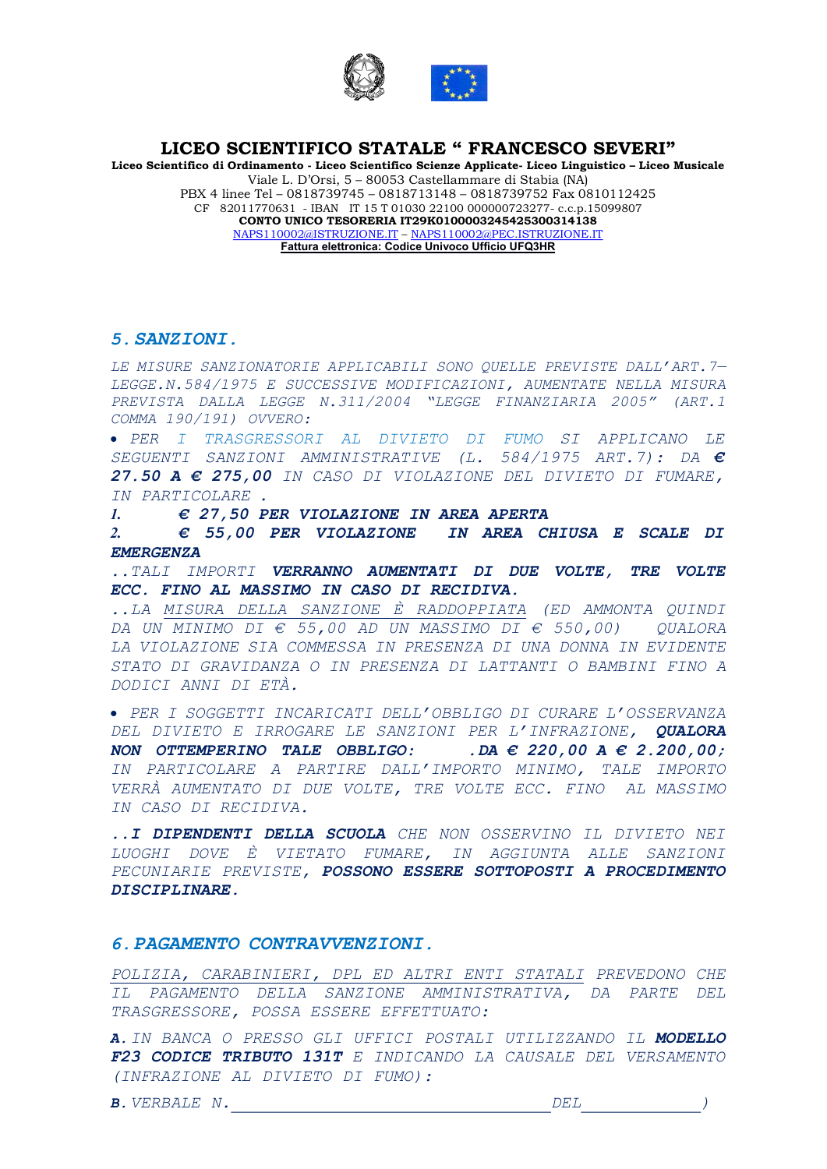

Liceo Scientifico di Ordinamento - Liceo Scientifico Scienze Applicate- Liceo Linguistico – Liceo Musicale Viale L. D'Orsi, 5 – 80053 Castellammare di Stabia (NA) PBX 4 linee Tel – 0818739745 – 0818713148 – 0818739752 Fax 0810112425 CF 82011770631 - IBAN IT 15 T 01030 22100 000000723277- c.c.p.15099807 CONTO UNICO TESORERIA IT29K0100003245425300314138 NAPS110002@ISTRUZIONE.IT – NAPS110002@PEC.ISTRUZIONE.IT Fattura elettronica: Codice Univoco Ufficio UFQ3HR

#### 5.SANZIONI.

LE MISURE SANZIONATORIE APPLICABILI SONO QUELLE PREVISTE DALL'ART. 7-LEGGE.N.584/1975 E SUCCESSIVE MODIFICAZIONI, AUMENTATE NELLA MISURA PREVISTA DALLA LEGGE N.311/2004 "LEGGE FINANZIARIA 2005" (ART.1 COMMA 190/191) OVVERO:

 PER I TRASGRESSORI AL DIVIETO DI FUMO SI APPLICANO LE SEGUENTI SANZIONI AMMINISTRATIVE (L. 584/1975 ART.7): DA € 27.50  $A \in 275,00$  in caso di violazione del divieto di Fumare, IN PARTICOLARE .

1.  $\epsilon$  27,50 PER VIOLAZIONE IN AREA APERTA

2. € 55,00 PER VIOLAZIONE IN AREA CHIUSA E SCALE DI EMERGENZA

..TALI IMPORTI VERRANNO AUMENTATI DI DUE VOLTE, TRE VOLTE ECC. FINO AL MASSIMO IN CASO DI RECIDIVA.

..LA MISURA DELLA SANZIONE È RADDOPPIATA (ED AMMONTA QUINDI DA UN MINIMO DI  $\epsilon$  55,00 ad un massimo di  $\epsilon$  550,00) QUALORA LA VIOLAZIONE SIA COMMESSA IN PRESENZA DI UNA DONNA IN EVIDENTE STATO DI GRAVIDANZA O IN PRESENZA DI LATTANTI O BAMBINI FINO A DODICI ANNI DI ETÀ.

 PER I SOGGETTI INCARICATI DELL'OBBLIGO DI CURARE L'OSSERVANZA DEL DIVIETO E IRROGARE LE SANZIONI PER L'INFRAZIONE, QUALORA NON OTTEMPERINO TALE OBBLIGO: . DA  $\in$  220,00 A  $\in$  2.200,00; IN PARTICOLARE A PARTIRE DALL'IMPORTO MINIMO, TALE IMPORTO VERRÀ AUMENTATO DI DUE VOLTE, TRE VOLTE ECC. FINO AL MASSIMO IN CASO DI RECIDIVA.

..I DIPENDENTI DELLA SCUOLA CHE NON OSSERVINO IL DIVIETO NEI LUOGHI DOVE È VIETATO FUMARE, IN AGGIUNTA ALLE SANZIONI PECUNIARIE PREVISTE, POSSONO ESSERE SOTTOPOSTI A PROCEDIMENTO DISCIPLINARE.

#### 6.PAGAMENTO CONTRAVVENZIONI.

POLIZIA, CARABINIERI, DPL ED ALTRI ENTI STATALI PREVEDONO CHE IL PAGAMENTO DELLA SANZIONE AMMINISTRATIVA, DA PARTE DEL TRASGRESSORE, POSSA ESSERE EFFETTUATO:

A. IN BANCA O PRESSO GLI UFFICI POSTALI UTILIZZANDO IL MODELLO F23 CODICE TRIBUTO 131T E INDICANDO LA CAUSALE DEL VERSAMENTO (INFRAZIONE AL DIVIETO DI FUMO):

B. VERBALE N.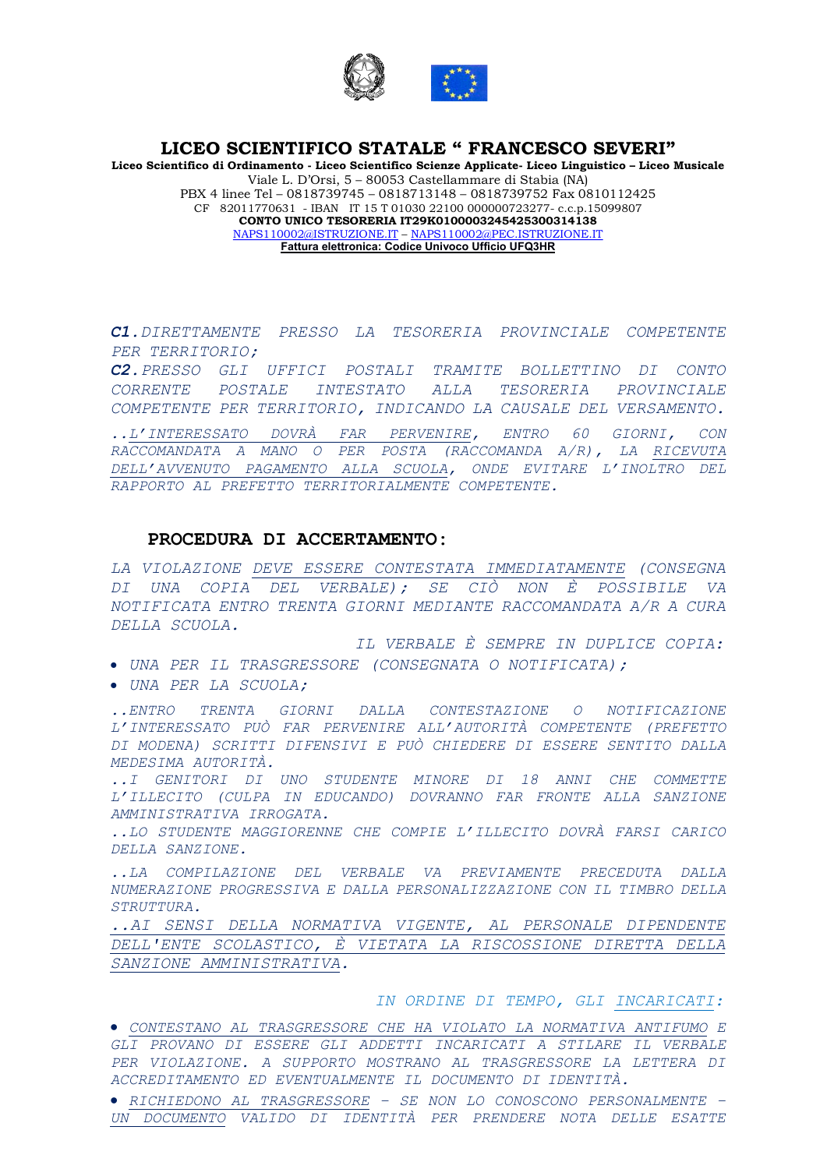

Liceo Scientifico di Ordinamento - Liceo Scientifico Scienze Applicate- Liceo Linguistico – Liceo Musicale Viale L. D'Orsi, 5 – 80053 Castellammare di Stabia (NA) PBX 4 linee Tel – 0818739745 – 0818713148 – 0818739752 Fax 0810112425 CF 82011770631 - IBAN IT 15 T 01030 22100 000000723277- c.c.p.15099807 CONTO UNICO TESORERIA IT29K0100003245425300314138 NAPS110002@ISTRUZIONE.IT – NAPS110002@PEC.ISTRUZIONE.IT Fattura elettronica: Codice Univoco Ufficio UFQ3HR

C1.DIRETTAMENTE PRESSO LA TESORERIA PROVINCIALE COMPETENTE PER TERRITORIO;

C2.PRESSO GLI UFFICI POSTALI TRAMITE BOLLETTINO DI CONTO CORRENTE POSTALE INTESTATO ALLA TESORERIA PROVINCIALE COMPETENTE PER TERRITORIO, INDICANDO LA CAUSALE DEL VERSAMENTO.

..L'INTERESSATO DOVRÀ FAR PERVENIRE, ENTRO 60 GIORNI, CON RACCOMANDATA A MANO O PER POSTA (RACCOMANDA A/R), LA RICEVUTA DELL'AVVENUTO PAGAMENTO ALLA SCUOLA, ONDE EVITARE L'INOLTRO DEL RAPPORTO AL PREFETTO TERRITORIALMENTE COMPETENTE.

# PROCEDURA DI ACCERTAMENTO:

LA VIOLAZIONE DEVE ESSERE CONTESTATA IMMEDIATAMENTE (CONSEGNA DI UNA COPIA DEL VERBALE); SE CIÒ NON È POSSIBILE VA NOTIFICATA ENTRO TRENTA GIORNI MEDIANTE RACCOMANDATA A/R A CURA DELLA SCUOLA.

IL VERBALE È SEMPRE IN DUPLICE COPIA: UNA PER IL TRASGRESSORE (CONSEGNATA O NOTIFICATA);

UNA PER LA SCUOLA;

..ENTRO TRENTA GIORNI DALLA CONTESTAZIONE O NOTIFICAZIONE L'INTERESSATO PUÒ FAR PERVENIRE ALL'AUTORITÀ COMPETENTE (PREFETTO DI MODENA) SCRITTI DIFENSIVI E PUÒ CHIEDERE DI ESSERE SENTITO DALLA MEDESIMA AUTORITÀ.

..I GENITORI DI UNO STUDENTE MINORE DI 18 ANNI CHE COMMETTE L'ILLECITO (CULPA IN EDUCANDO) DOVRANNO FAR FRONTE ALLA SANZIONE AMMINISTRATIVA IRROGATA.

..LO STUDENTE MAGGIORENNE CHE COMPIE L'ILLECITO DOVRÀ FARSI CARICO DELLA SANZIONE.

..LA COMPILAZIONE DEL VERBALE VA PREVIAMENTE PRECEDUTA DALLA NUMERAZIONE PROGRESSIVA E DALLA PERSONALIZZAZIONE CON IL TIMBRO DELLA STRUTTURA.

..AI SENSI DELLA NORMATIVA VIGENTE, AL PERSONALE DIPENDENTE DELL'ENTE SCOLASTICO, È VIETATA LA RISCOSSIONE DIRETTA DELLA SANZIONE AMMINISTRATIVA.

IN ORDINE DI TEMPO, GLI INCARICATI:

 CONTESTANO AL TRASGRESSORE CHE HA VIOLATO LA NORMATIVA ANTIFUMO E GLI PROVANO DI ESSERE GLI ADDETTI INCARICATI A STILARE IL VERBALE PER VIOLAZIONE. A SUPPORTO MOSTRANO AL TRASGRESSORE LA LETTERA DI ACCREDITAMENTO ED EVENTUALMENTE IL DOCUMENTO DI IDENTITÀ.

 RICHIEDONO AL TRASGRESSORE – SE NON LO CONOSCONO PERSONALMENTE – UN DOCUMENTO VALIDO DI IDENTITÀ PER PRENDERE NOTA DELLE ESATTE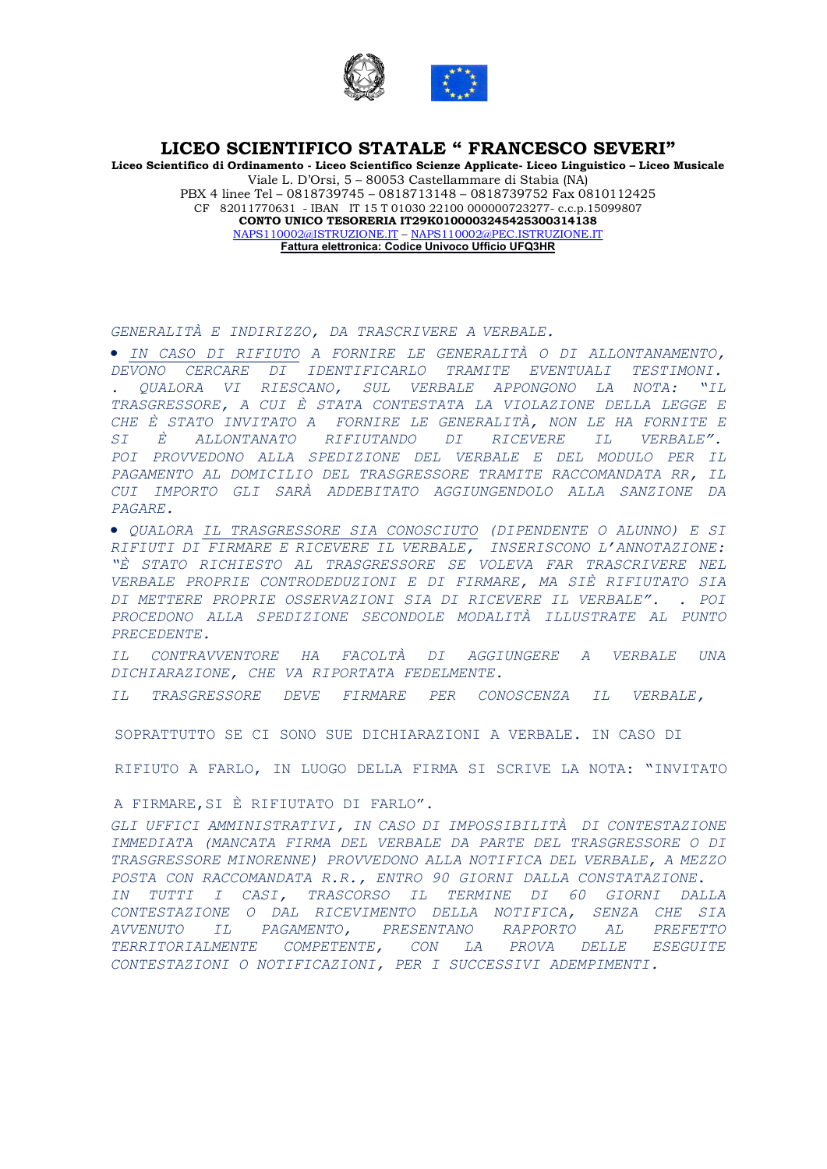

Liceo Scientifico di Ordinamento - Liceo Scientifico Scienze Applicate- Liceo Linguistico – Liceo Musicale Viale L. D'Orsi, 5 – 80053 Castellammare di Stabia (NA) PBX 4 linee Tel – 0818739745 – 0818713148 – 0818739752 Fax 0810112425 CF 82011770631 - IBAN IT 15 T 01030 22100 000000723277- c.c.p.15099807 CONTO UNICO TESORERIA IT29K0100003245425300314138 NAPS110002@ISTRUZIONE.IT – NAPS110002@PEC.ISTRUZIONE.IT Fattura elettronica: Codice Univoco Ufficio UFQ3HR

GENERALITÀ E INDIRIZZO, DA TRASCRIVERE A VERBALE.

 IN CASO DI RIFIUTO A FORNIRE LE GENERALITÀ O DI ALLONTANAMENTO, DEVONO CERCARE DI IDENTIFICARLO TRAMITE EVENTUALI TESTIMONI. . QUALORA VI RIESCANO, SUL VERBALE APPONGONO LA NOTA: "IL TRASGRESSORE, A CUI È STATA CONTESTATA LA VIOLAZIONE DELLA LEGGE E CHE È STATO INVITATO A FORNIRE LE GENERALITÀ, NON LE HA FORNITE E SI È ALLONTANATO RIFIUTANDO DI RICEVERE IL VERBALE". POI PROVVEDONO ALLA SPEDIZIONE DEL VERBALE E DEL MODULO PER IL PAGAMENTO AL DOMICILIO DEL TRASGRESSORE TRAMITE RACCOMANDATA RR, IL CUI IMPORTO GLI SARÀ ADDEBITATO AGGIUNGENDOLO ALLA SANZIONE DA PAGARE.

 QUALORA IL TRASGRESSORE SIA CONOSCIUTO (DIPENDENTE O ALUNNO) E SI RIFIUTI DI FIRMARE E RICEVERE IL VERBALE, INSERISCONO L'ANNOTAZIONE: "È STATO RICHIESTO AL TRASGRESSORE SE VOLEVA FAR TRASCRIVERE NEL VERBALE PROPRIE CONTRODEDUZIONI E DI FIRMARE, MA SIÈ RIFIUTATO SIA DI METTERE PROPRIE OSSERVAZIONI SIA DI RICEVERE IL VERBALE". . POI PROCEDONO ALLA SPEDIZIONE SECONDOLE MODALITÀ ILLUSTRATE AL PUNTO PRECEDENTE.

IL CONTRAVVENTORE HA FACOLTÀ DI AGGIUNGERE A VERBALE UNA DICHIARAZIONE, CHE VA RIPORTATA FEDELMENTE.

IL TRASGRESSORE DEVE FIRMARE PER CONOSCENZA IL VERBALE,

SOPRATTUTTO SE CI SONO SUE DICHIARAZIONI A VERBALE. IN CASO DI

RIFIUTO A FARLO, IN LUOGO DELLA FIRMA SI SCRIVE LA NOTA: "INVITATO

A FIRMARE,SI È RIFIUTATO DI FARLO".

GLI UFFICI AMMINISTRATIVI, IN CASO DI IMPOSSIBILITÀ DI CONTESTAZIONE IMMEDIATA (MANCATA FIRMA DEL VERBALE DA PARTE DEL TRASGRESSORE O DI TRASGRESSORE MINORENNE) PROVVEDONO ALLA NOTIFICA DEL VERBALE, A MEZZO POSTA CON RACCOMANDATA R.R., ENTRO 90 GIORNI DALLA CONSTATAZIONE. IN TUTTI I CASI, TRASCORSO IL TERMINE DI 60 GIORNI DALLA CONTESTAZIONE O DAL RICEVIMENTO DELLA NOTIFICA, SENZA CHE SIA AVVENUTO IL PAGAMENTO, PRESENTANO RAPPORTO AL PREFETTO TERRITORIALMENTE COMPETENTE, CON LA PROVA DELLE ESEGUITE CONTESTAZIONI O NOTIFICAZIONI, PER I SUCCESSIVI ADEMPIMENTI.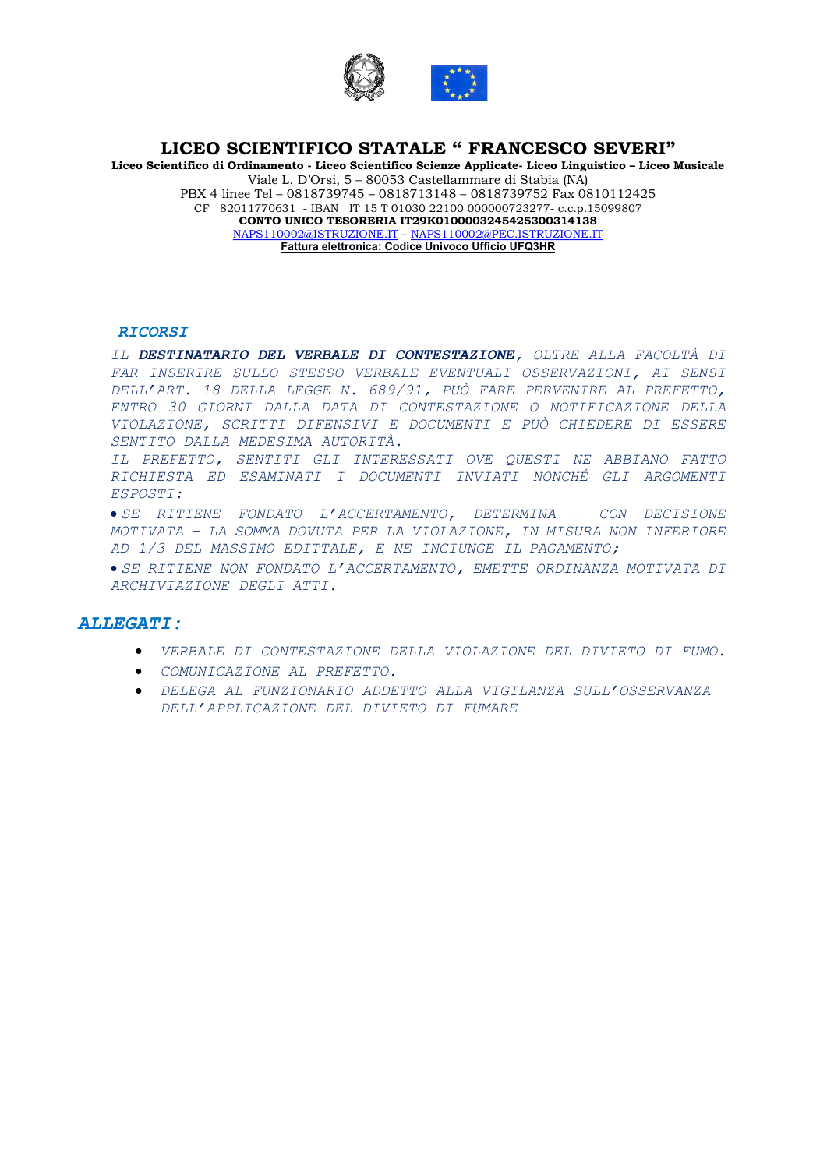

Liceo Scientifico di Ordinamento - Liceo Scientifico Scienze Applicate- Liceo Linguistico – Liceo Musicale Viale L. D'Orsi, 5 – 80053 Castellammare di Stabia (NA) PBX 4 linee Tel – 0818739745 – 0818713148 – 0818739752 Fax 0810112425 CF 82011770631 - IBAN IT 15 T 01030 22100 000000723277- c.c.p.15099807 CONTO UNICO TESORERIA IT29K0100003245425300314138 NAPS110002@ISTRUZIONE.IT – NAPS110002@PEC.ISTRUZIONE.IT Fattura elettronica: Codice Univoco Ufficio UFQ3HR

#### RICORSI

IL DESTINATARIO DEL VERBALE DI CONTESTAZIONE, OLTRE ALLA FACOLTÀ DI FAR INSERIRE SULLO STESSO VERBALE EVENTUALI OSSERVAZIONI, AI SENSI DELL'ART. 18 DELLA LEGGE N. 689/91, PUÒ FARE PERVENIRE AL PREFETTO, ENTRO 30 GIORNI DALLA DATA DI CONTESTAZIONE O NOTIFICAZIONE DELLA VIOLAZIONE, SCRITTI DIFENSIVI E DOCUMENTI E PUÒ CHIEDERE DI ESSERE SENTITO DALLA MEDESIMA AUTORITÀ.

IL PREFETTO, SENTITI GLI INTERESSATI OVE QUESTI NE ABBIANO FATTO RICHIESTA ED ESAMINATI I DOCUMENTI INVIATI NONCHÉ GLI ARGOMENTI ESPOSTI:

 SE RITIENE FONDATO L'ACCERTAMENTO, DETERMINA – CON DECISIONE MOTIVATA – LA SOMMA DOVUTA PER LA VIOLAZIONE, IN MISURA NON INFERIORE AD 1/3 DEL MASSIMO EDITTALE, E NE INGIUNGE IL PAGAMENTO;

 SE RITIENE NON FONDATO L'ACCERTAMENTO, EMETTE ORDINANZA MOTIVATA DI ARCHIVIAZIONE DEGLI ATTI.

#### ALLEGATI:

- VERBALE DI CONTESTAZIONE DELLA VIOLAZIONE DEL DIVIETO DI FUMO.
- COMUNICAZIONE AL PREFETTO.
- DELEGA AL FUNZIONARIO ADDETTO ALLA VIGILANZA SULL'OSSERVANZA DELL'APPLICAZIONE DEL DIVIETO DI FUMARE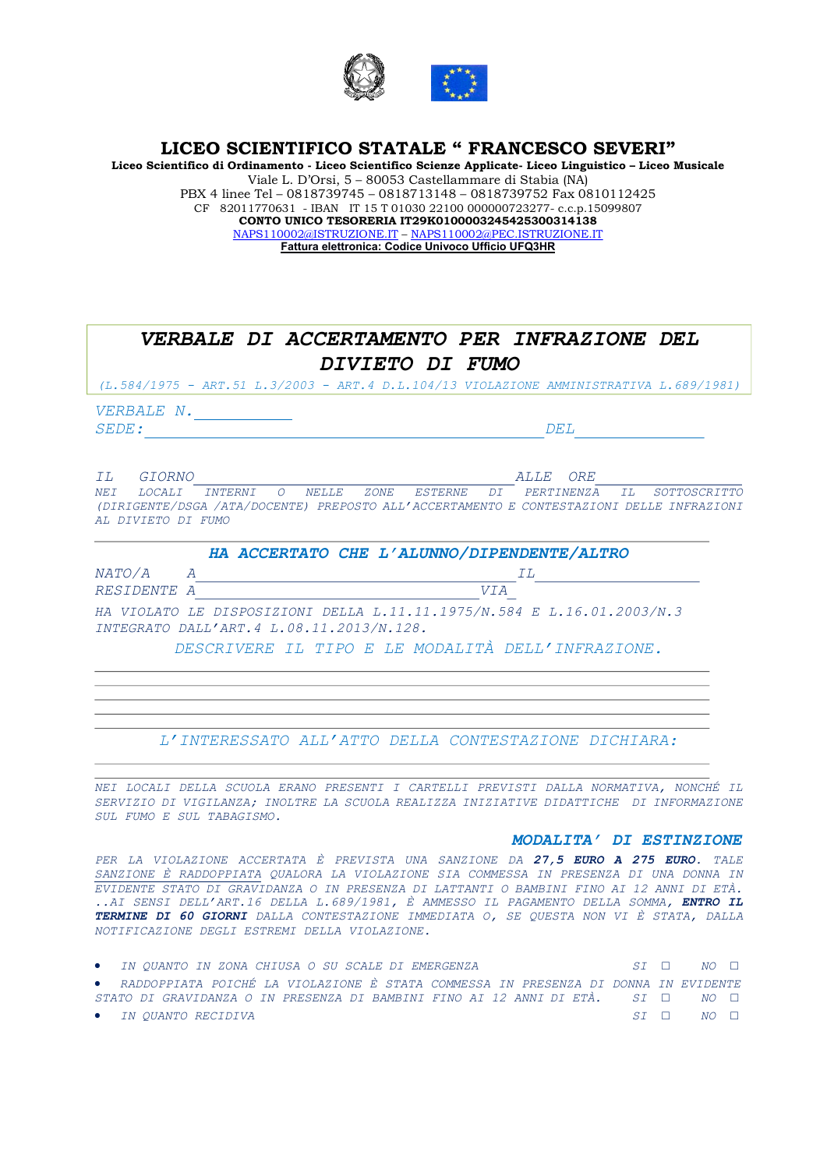

Liceo Scientifico di Ordinamento - Liceo Scientifico Scienze Applicate- Liceo Linguistico – Liceo Musicale Viale L. D'Orsi, 5 – 80053 Castellammare di Stabia (NA) PBX 4 linee Tel – 0818739745 – 0818713148 – 0818739752 Fax 0810112425 CF 82011770631 - IBAN IT 15 T 01030 22100 000000723277- c.c.p.15099807 CONTO UNICO TESORERIA IT29K0100003245425300314138 NAPS110002@ISTRUZIONE.IT – NAPS110002@PEC.ISTRUZIONE.IT Fattura elettronica: Codice Univoco Ufficio UFQ3HR

# VERBALE N. SEDE: DEL IL GIORNO ALLE ORE NEI LOCALI INTERNI O NELLE ZONE ESTERNE DI PERTINENZA IL SOTTOSCRITTO (DIRIGENTE/DSGA /ATA/DOCENTE) PREPOSTO ALL'ACCERTAMENTO E CONTESTAZIONI DELLE INFRAZIONI AL DIVIETO DI FUMO HA ACCERTATO CHE L'ALUNNO/DIPENDENTE/ALTRO  $NATO/A$  a  $I$ RESIDENTE A VIA HA VIOLATO LE DISPOSIZIONI DELLA L.11.11.1975/N.584 E L.16.01.2003/N.3 INTEGRATO DALL'ART.4 L.08.11.2013/N.128. VERBALE DI ACCERTAMENTO PER INFRAZIONE DEL DIVIETO DI FUMO (L.584/1975 - ART.51 L.3/2003 - ART.4 D.L.104/13 VIOLAZIONE AMMINISTRATIVA L.689/1981)

DESCRIVERE IL TIPO E LE MODALITÀ DELL'INFRAZIONE.

L'INTERESSATO ALL'ATTO DELLA CONTESTAZIONE DICHIARA:

NEI LOCALI DELLA SCUOLA ERANO PRESENTI I CARTELLI PREVISTI DALLA NORMATIVA, NONCHÉ IL SERVIZIO DI VIGILANZA; INOLTRE LA SCUOLA REALIZZA INIZIATIVE DIDATTICHE DI INFORMAZIONE SUL FUMO E SUL TABAGISMO.

#### MODALITA' DI ESTINZIONE

PER LA VIOLAZIONE ACCERTATA È PREVISTA UNA SANZIONE DA 27,5 EURO A 275 EURO. TALE SANZIONE È RADDOPPIATA QUALORA LA VIOLAZIONE SIA COMMESSA IN PRESENZA DI UNA DONNA IN EVIDENTE STATO DI GRAVIDANZA O IN PRESENZA DI LATTANTI O BAMBINI FINO AI 12 ANNI DI ETÀ. ..AI SENSI DELL'ART.16 DELLA L.689/1981, È AMMESSO IL PAGAMENTO DELLA SOMMA, ENTRO IL TERMINE DI 60 GIORNI DALLA CONTESTAZIONE IMMEDIATA O, SE QUESTA NON VI È STATA, DALLA NOTIFICAZIONE DEGLI ESTREMI DELLA VIOLAZIONE.

| • IN OUANTO IN ZONA CHIUSA O SU SCALE DI EMERGENZA                                       |  | $ST$ $\Box$ $NO$ $\Box$                   |
|------------------------------------------------------------------------------------------|--|-------------------------------------------|
| • RADDOPPIATA POICHÉ LA VIOLAZIONE È STATA COMMESSA IN PRESENZA DI DONNA IN EVIDENTE     |  |                                           |
| STATO DI GRAVIDANZA O IN PRESENZA DI BAMBINI FINO AI 12 ANNI DI ETÀ. SI $\Box$ NO $\Box$ |  |                                           |
| • IN OUANTO RECIDIVA                                                                     |  | $ST \quad \Box \quad \quad NO \quad \Box$ |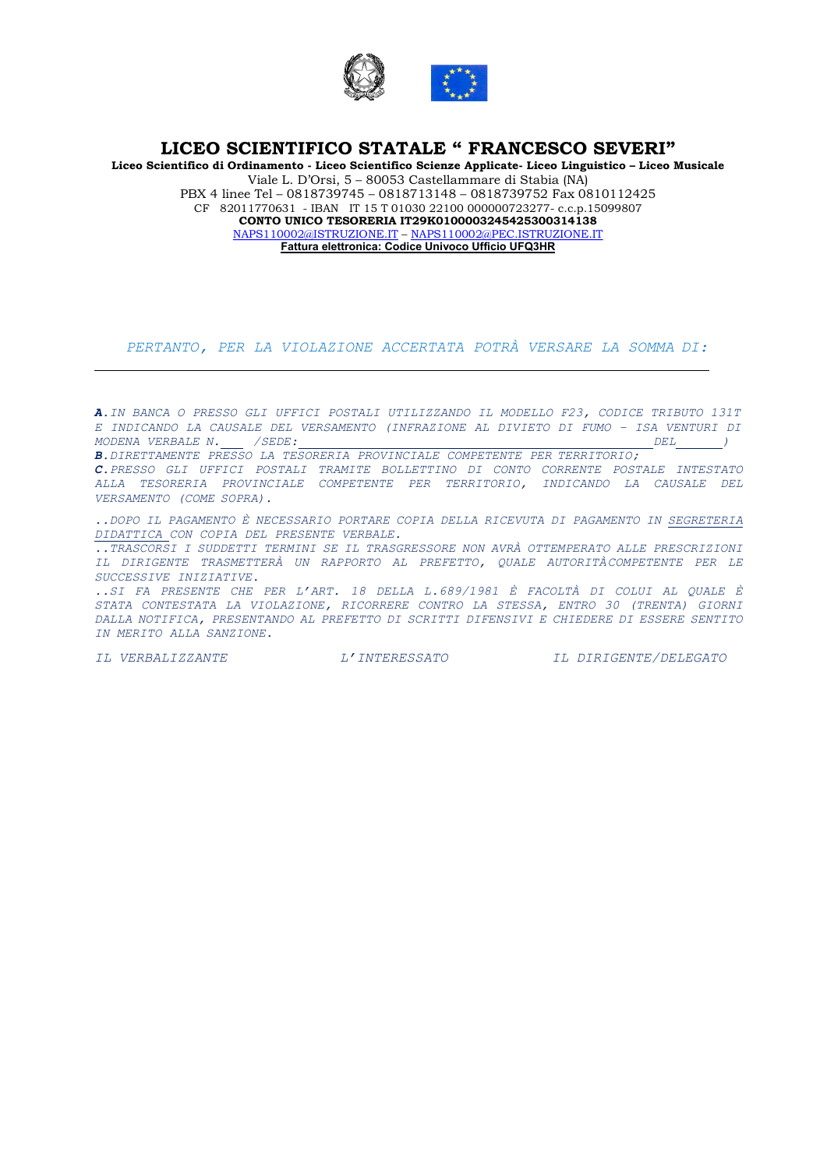

Liceo Scientifico di Ordinamento - Liceo Scientifico Scienze Applicate- Liceo Linguistico – Liceo Musicale Viale L. D'Orsi, 5 – 80053 Castellammare di Stabia (NA) PBX 4 linee Tel – 0818739745 – 0818713148 – 0818739752 Fax 0810112425 CF 82011770631 - IBAN IT 15 T 01030 22100 000000723277- c.c.p.15099807 CONTO UNICO TESORERIA IT29K0100003245425300314138 NAPS110002@ISTRUZIONE.IT – NAPS110002@PEC.ISTRUZIONE.IT Fattura elettronica: Codice Univoco Ufficio UFQ3HR

PERTANTO, PER LA VIOLAZIONE ACCERTATA POTRÀ VERSARE LA SOMMA DI:

A.IN BANCA O PRESSO GLI UFFICI POSTALI UTILIZZANDO IL MODELLO F23, CODICE TRIBUTO 131T E INDICANDO LA CAUSALE DEL VERSAMENTO (INFRAZIONE AL DIVIETO DI FUMO – ISA VENTURI DI MODENA VERBALE N. /SEDE: DEL ) B.DIRETTAMENTE PRESSO LA TESORERIA PROVINCIALE COMPETENTE PER TERRITORIO; C.PRESSO GLI UFFICI POSTALI TRAMITE BOLLETTINO DI CONTO CORRENTE POSTALE INTESTATO ALLA TESORERIA PROVINCIALE COMPETENTE PER TERRITORIO, INDICANDO LA CAUSALE DEL VERSAMENTO (COME SOPRA).

..DOPO IL PAGAMENTO È NECESSARIO PORTARE COPIA DELLA RICEVUTA DI PAGAMENTO IN SEGRETERIA DIDATTICA CON COPIA DEL PRESENTE VERBALE.

..TRASCORSI I SUDDETTI TERMINI SE IL TRASGRESSORE NON AVRÀ OTTEMPERATO ALLE PRESCRIZIONI IL DIRIGENTE TRASMETTERÀ UN RAPPORTO AL PREFETTO, QUALE AUTORITÀ COMPETENTE PER LE SUCCESSIVE INIZIATIVE.

..SI FA PRESENTE CHE PER L'ART. 18 DELLA L.689/1981 È FACOLTÀ DI COLUI AL QUALE È STATA CONTESTATA LA VIOLAZIONE, RICORRERE CONTRO LA STESSA, ENTRO 30 (TRENTA) GIORNI DALLA NOTIFICA, PRESENTANDO AL PREFETTO DI SCRITTI DIFENSIVI E CHIEDERE DI ESSERE SENTITO IN MERITO ALLA SANZIONE.

IL VERBALIZZANTE L'INTERESSATO IL DIRIGENTE/DELEGATO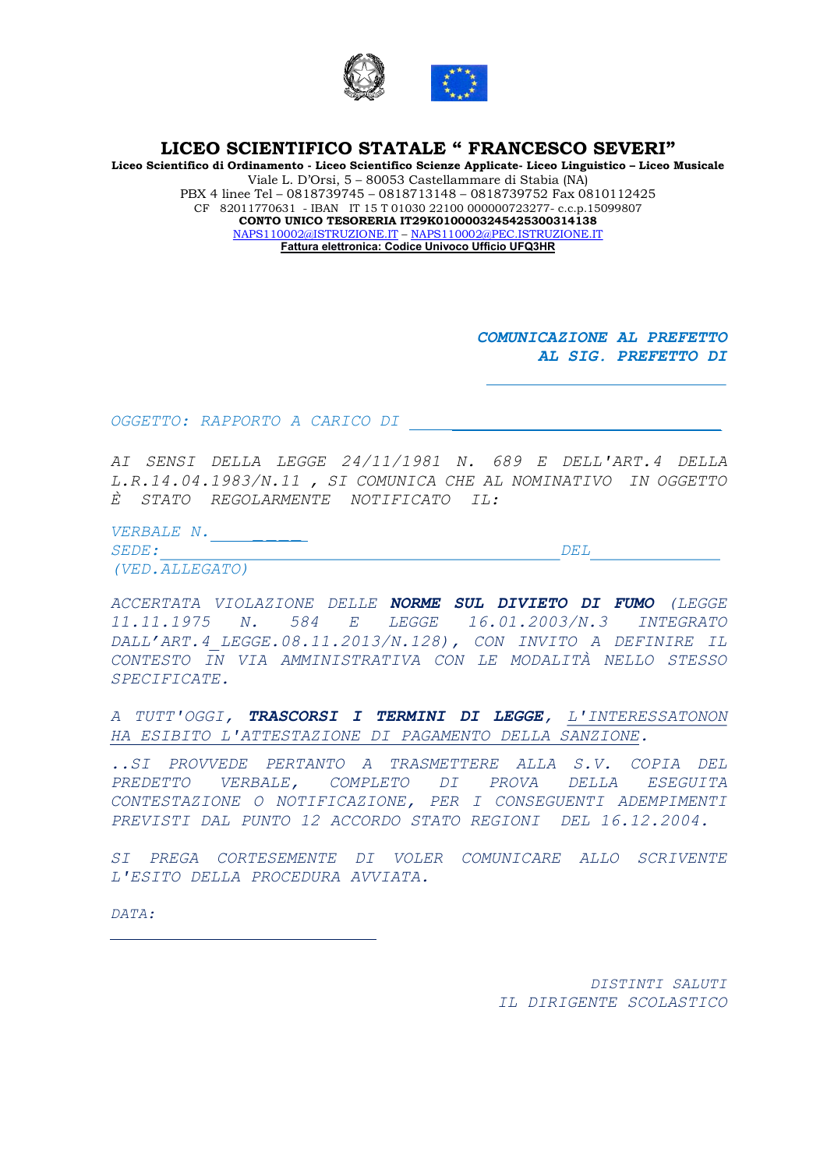

Liceo Scientifico di Ordinamento - Liceo Scientifico Scienze Applicate- Liceo Linguistico – Liceo Musicale Viale L. D'Orsi, 5 – 80053 Castellammare di Stabia (NA) PBX 4 linee Tel – 0818739745 – 0818713148 – 0818739752 Fax 0810112425 CF 82011770631 - IBAN IT 15 T 01030 22100 000000723277- c.c.p.15099807 CONTO UNICO TESORERIA IT29K0100003245425300314138 NAPS110002@ISTRUZIONE.IT – NAPS110002@PEC.ISTRUZIONE.IT Fattura elettronica: Codice Univoco Ufficio UFQ3HR

> COMUNICAZIONE AL PREFETTO AL SIG. PREFETTO DI

OGGETTO: RAPPORTO A CARICO DI

AI SENSI DELLA LEGGE 24/11/1981 N. 689 E DELL'ART.4 DELLA L.R.14.04.1983/N.11 , SI COMUNICA CHE AL NOMINATIVO IN OGGETTO È STATO REGOLARMENTE NOTIFICATO IL:

VERBALE N.

SEDE: DEL (VED.ALLEGATO)

ACCERTATA VIOLAZIONE DELLE NORME SUL DIVIETO DI FUMO (LEGGE 11.11.1975 N. 584 E LEGGE 16.01.2003/N.3 INTEGRATO DALL'ART.4\_LEGGE.08.11.2013/N.128), CON INVITO A DEFINIRE IL CONTESTO IN VIA AMMINISTRATIVA CON LE MODALITÀ NELLO STESSO SPECIFICATE.

A TUTT'OGGI, TRASCORSI I TERMINI DI LEGGE, L'INTERESSATONON HA ESIBITO L'ATTESTAZIONE DI PAGAMENTO DELLA SANZIONE.

..SI PROVVEDE PERTANTO A TRASMETTERE ALLA S.V. COPIA DEL PREDETTO VERBALE, COMPLETO DI PROVA DELLA ESEGUITA CONTESTAZIONE O NOTIFICAZIONE, PER I CONSEGUENTI ADEMPIMENTI PREVISTI DAL PUNTO 12 ACCORDO STATO REGIONI DEL 16.12.2004.

SI PREGA CORTESEMENTE DI VOLER COMUNICARE ALLO SCRIVENTE L'ESITO DELLA PROCEDURA AVVIATA.

DATA:

DISTINTI SALUTI IL DIRIGENTE SCOLASTICO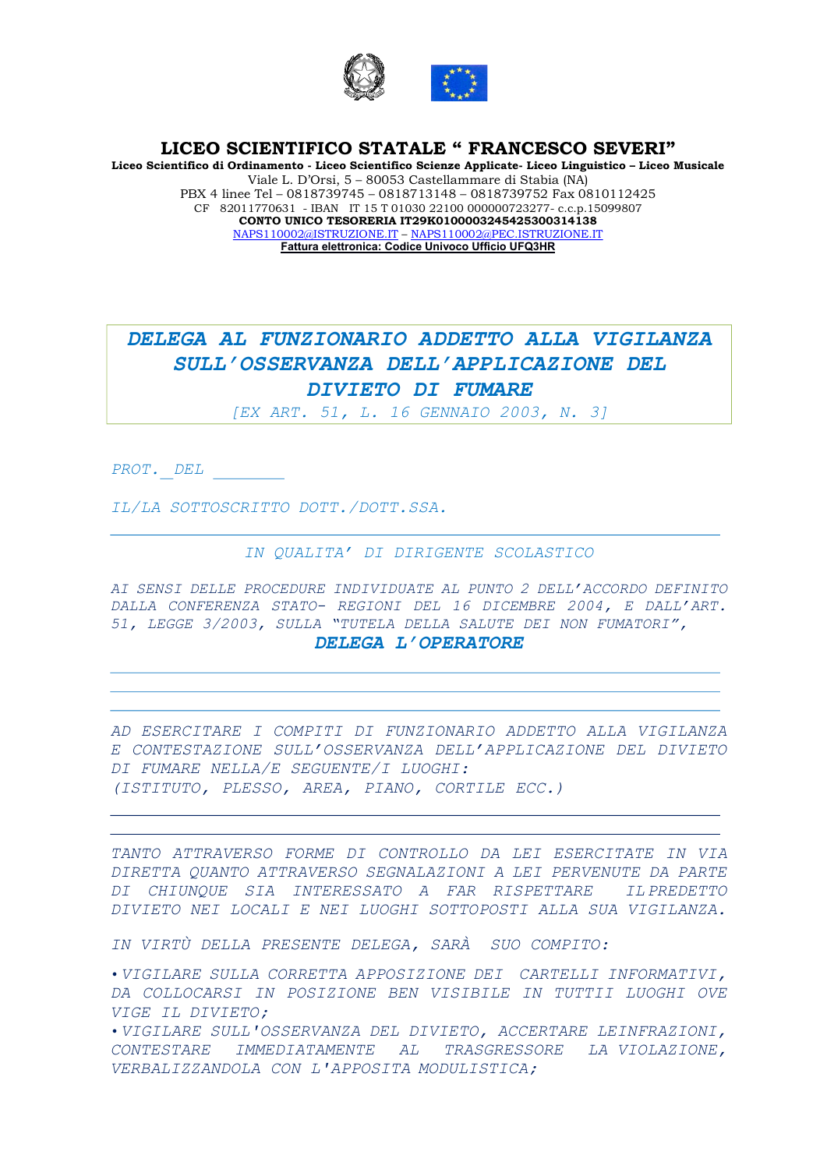

Liceo Scientifico di Ordinamento - Liceo Scientifico Scienze Applicate- Liceo Linguistico – Liceo Musicale Viale L. D'Orsi, 5 – 80053 Castellammare di Stabia (NA) PBX 4 linee Tel – 0818739745 – 0818713148 – 0818739752 Fax 0810112425 CF 82011770631 - IBAN IT 15 T 01030 22100 000000723277- c.c.p.15099807 CONTO UNICO TESORERIA IT29K0100003245425300314138 NAPS110002@ISTRUZIONE.IT – NAPS110002@PEC.ISTRUZIONE.IT Fattura elettronica: Codice Univoco Ufficio UFQ3HR

# DELEGA AL FUNZIONARIO ADDETTO ALLA VIGILANZA SULL'OSSERVANZA DELL'APPLICAZIONE DEL DIVIETO DI FUMARE

[EX ART. 51, L. 16 GENNAIO 2003, N. 3]

PROT. DEL

IL/LA SOTTOSCRITTO DOTT./DOTT.SSA.

# IN QUALITA' DI DIRIGENTE SCOLASTICO

AI SENSI DELLE PROCEDURE INDIVIDUATE AL PUNTO 2 DELL'ACCORDO DEFINITO DALLA CONFERENZA STATO- REGIONI DEL 16 DICEMBRE 2004, E DALL'ART. 51, LEGGE 3/2003, SULLA "TUTELA DELLA SALUTE DEI NON FUMATORI", DELEGA L'OPERATORE

AD ESERCITARE I COMPITI DI FUNZIONARIO ADDETTO ALLA VIGILANZA E CONTESTAZIONE SULL'OSSERVANZA DELL'APPLICAZIONE DEL DIVIETO DI FUMARE NELLA/E SEGUENTE/I LUOGHI: (ISTITUTO, PLESSO, AREA, PIANO, CORTILE ECC.)

TANTO ATTRAVERSO FORME DI CONTROLLO DA LEI ESERCITATE IN VIA DIRETTA QUANTO ATTRAVERSO SEGNALAZIONI A LEI PERVENUTE DA PARTE DI CHIUNQUE SIA INTERESSATO A FAR RISPETTARE IL PREDETTO DIVIETO NEI LOCALI E NEI LUOGHI SOTTOPOSTI ALLA SUA VIGILANZA.

IN VIRTÙ DELLA PRESENTE DELEGA, SARÀ SUO COMPITO:

•VIGILARE SULLA CORRETTA APPOSIZIONE DEI CARTELLI INFORMATIVI, DA COLLOCARSI IN POSIZIONE BEN VISIBILE IN TUTTI I LUOGHI OVE VIGE IL DIVIETO;

•VIGILARE SULL'OSSERVANZA DEL DIVIETO, ACCERTARE LE INFRAZIONI, CONTESTARE IMMEDIATAMENTE AL TRASGRESSORE LA VIOLAZIONE, VERBALIZZANDOLA CON L'APPOSITA MODULISTICA;